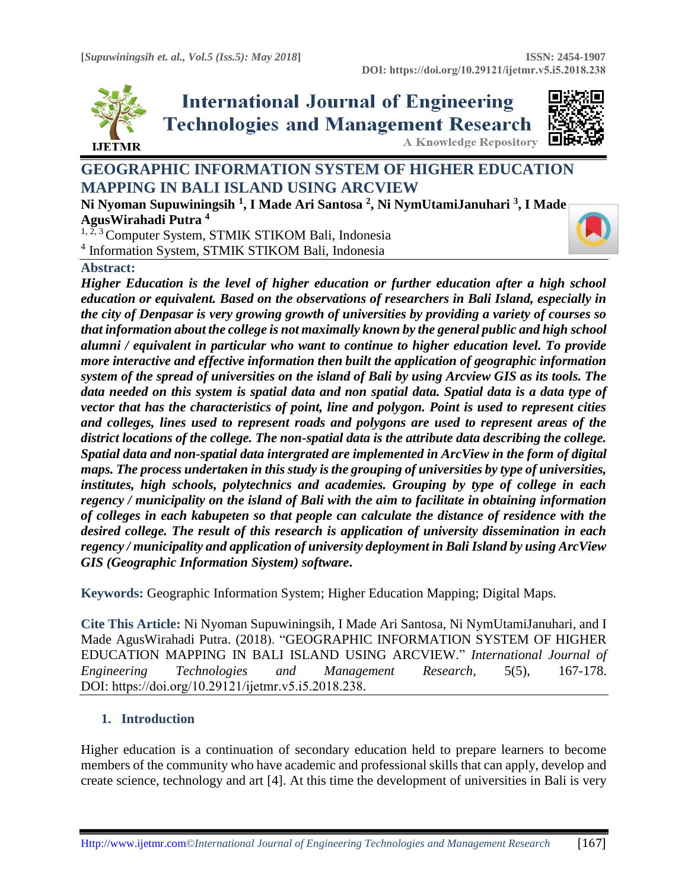

**International Journal of Engineering Technologies and Management Research** 



**A Knowledge Repository** 

# **GEOGRAPHIC INFORMATION SYSTEM OF HIGHER EDUCATION MAPPING IN BALI ISLAND USING ARCVIEW**

**Ni Nyoman Supuwiningsih <sup>1</sup> , I Made Ari Santosa <sup>2</sup> , Ni NymUtamiJanuhari <sup>3</sup> , I Made AgusWirahadi Putra <sup>4</sup>**

<sup>1, 2, 3</sup> Computer System, STMIK STIKOM Bali, Indonesia 4 Information System, STMIK STIKOM Bali, Indonesia

# **Abstract:**

*Higher Education is the level of higher education or further education after a high school education or equivalent. Based on the observations of researchers in Bali Island, especially in the city of Denpasar is very growing growth of universities by providing a variety of courses so that information about the college is not maximally known by the general public and high school alumni / equivalent in particular who want to continue to higher education level. To provide more interactive and effective information then built the application of geographic information system of the spread of universities on the island of Bali by using Arcview GIS as its tools. The data needed on this system is spatial data and non spatial data. Spatial data is a data type of vector that has the characteristics of point, line and polygon. Point is used to represent cities and colleges, lines used to represent roads and polygons are used to represent areas of the district locations of the college. The non-spatial data is the attribute data describing the college. Spatial data and non-spatial data intergrated are implemented in ArcView in the form of digital maps. The process undertaken in this study is the grouping of universities by type of universities, institutes, high schools, polytechnics and academies. Grouping by type of college in each regency / municipality on the island of Bali with the aim to facilitate in obtaining information of colleges in each kabupeten so that people can calculate the distance of residence with the desired college. The result of this research is application of university dissemination in each regency / municipality and application of university deployment in Bali Island by using ArcView GIS (Geographic Information Siystem) software***.**

**Keywords:** Geographic Information System; Higher Education Mapping; Digital Maps*.* 

**Cite This Article:** Ni Nyoman Supuwiningsih, I Made Ari Santosa, Ni NymUtamiJanuhari, and I Made AgusWirahadi Putra. (2018). "GEOGRAPHIC INFORMATION SYSTEM OF HIGHER EDUCATION MAPPING IN BALI ISLAND USING ARCVIEW." *International Journal of Engineering Technologies and Management Research,* 5(5), 167-178. DOI: https://doi.org/10.29121/ijetmr.v5.i5.2018.238.

# **1. Introduction**

Higher education is a continuation of secondary education held to prepare learners to become members of the community who have academic and professional skills that can apply, develop and create science, technology and art [4]. At this time the development of universities in Bali is very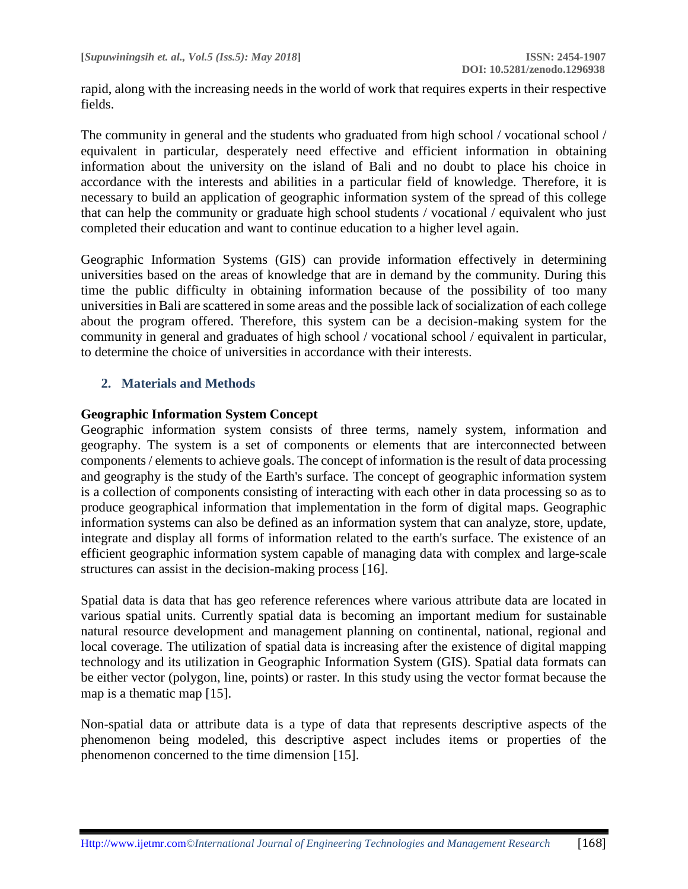rapid, along with the increasing needs in the world of work that requires experts in their respective fields.

The community in general and the students who graduated from high school / vocational school / equivalent in particular, desperately need effective and efficient information in obtaining information about the university on the island of Bali and no doubt to place his choice in accordance with the interests and abilities in a particular field of knowledge. Therefore, it is necessary to build an application of geographic information system of the spread of this college that can help the community or graduate high school students / vocational / equivalent who just completed their education and want to continue education to a higher level again.

Geographic Information Systems (GIS) can provide information effectively in determining universities based on the areas of knowledge that are in demand by the community. During this time the public difficulty in obtaining information because of the possibility of too many universities in Bali are scattered in some areas and the possible lack of socialization of each college about the program offered. Therefore, this system can be a decision-making system for the community in general and graduates of high school / vocational school / equivalent in particular, to determine the choice of universities in accordance with their interests.

# **2. Materials and Methods**

#### **Geographic Information System Concept**

Geographic information system consists of three terms, namely system, information and geography. The system is a set of components or elements that are interconnected between components / elements to achieve goals. The concept of information is the result of data processing and geography is the study of the Earth's surface. The concept of geographic information system is a collection of components consisting of interacting with each other in data processing so as to produce geographical information that implementation in the form of digital maps. Geographic information systems can also be defined as an information system that can analyze, store, update, integrate and display all forms of information related to the earth's surface. The existence of an efficient geographic information system capable of managing data with complex and large-scale structures can assist in the decision-making process [16].

Spatial data is data that has geo reference references where various attribute data are located in various spatial units. Currently spatial data is becoming an important medium for sustainable natural resource development and management planning on continental, national, regional and local coverage. The utilization of spatial data is increasing after the existence of digital mapping technology and its utilization in Geographic Information System (GIS). Spatial data formats can be either vector (polygon, line, points) or raster. In this study using the vector format because the map is a thematic map [15].

Non-spatial data or attribute data is a type of data that represents descriptive aspects of the phenomenon being modeled, this descriptive aspect includes items or properties of the phenomenon concerned to the time dimension [15].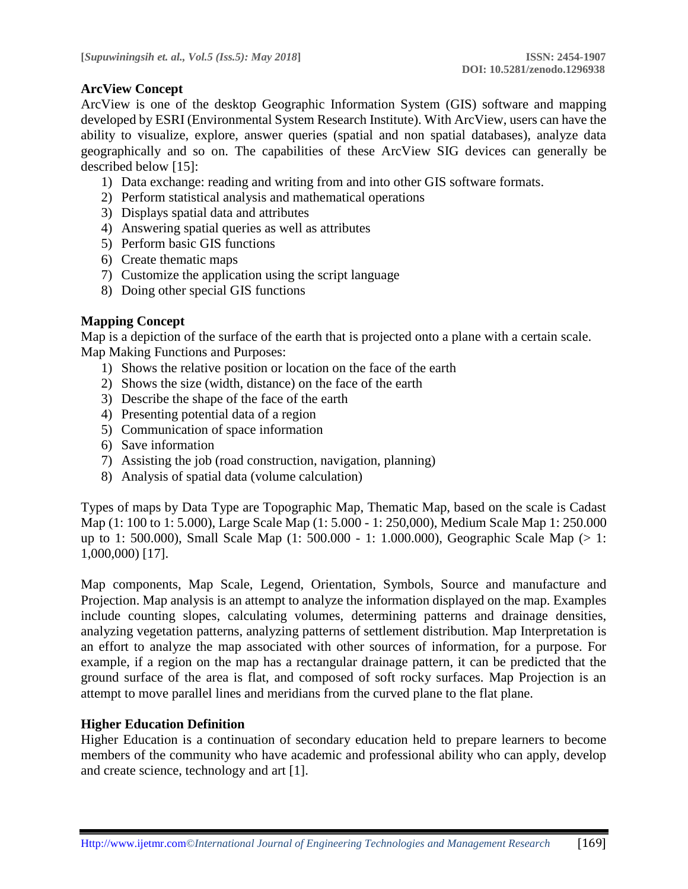# **ArcView Concept**

ArcView is one of the desktop Geographic Information System (GIS) software and mapping developed by ESRI (Environmental System Research Institute). With ArcView, users can have the ability to visualize, explore, answer queries (spatial and non spatial databases), analyze data geographically and so on. The capabilities of these ArcView SIG devices can generally be described below [15]:

- 1) Data exchange: reading and writing from and into other GIS software formats.
- 2) Perform statistical analysis and mathematical operations
- 3) Displays spatial data and attributes
- 4) Answering spatial queries as well as attributes
- 5) Perform basic GIS functions
- 6) Create thematic maps
- 7) Customize the application using the script language
- 8) Doing other special GIS functions

### **Mapping Concept**

Map is a depiction of the surface of the earth that is projected onto a plane with a certain scale. Map Making Functions and Purposes:

- 1) Shows the relative position or location on the face of the earth
- 2) Shows the size (width, distance) on the face of the earth
- 3) Describe the shape of the face of the earth
- 4) Presenting potential data of a region
- 5) Communication of space information
- 6) Save information
- 7) Assisting the job (road construction, navigation, planning)
- 8) Analysis of spatial data (volume calculation)

Types of maps by Data Type are Topographic Map, Thematic Map, based on the scale is Cadast Map (1: 100 to 1: 5.000), Large Scale Map (1: 5.000 - 1: 250,000), Medium Scale Map 1: 250.000 up to 1: 500.000), Small Scale Map (1: 500.000 - 1: 1.000.000), Geographic Scale Map (> 1: 1,000,000) [17].

Map components, Map Scale, Legend, Orientation, Symbols, Source and manufacture and Projection. Map analysis is an attempt to analyze the information displayed on the map. Examples include counting slopes, calculating volumes, determining patterns and drainage densities, analyzing vegetation patterns, analyzing patterns of settlement distribution. Map Interpretation is an effort to analyze the map associated with other sources of information, for a purpose. For example, if a region on the map has a rectangular drainage pattern, it can be predicted that the ground surface of the area is flat, and composed of soft rocky surfaces. Map Projection is an attempt to move parallel lines and meridians from the curved plane to the flat plane.

#### **Higher Education Definition**

Higher Education is a continuation of secondary education held to prepare learners to become members of the community who have academic and professional ability who can apply, develop and create science, technology and art [1].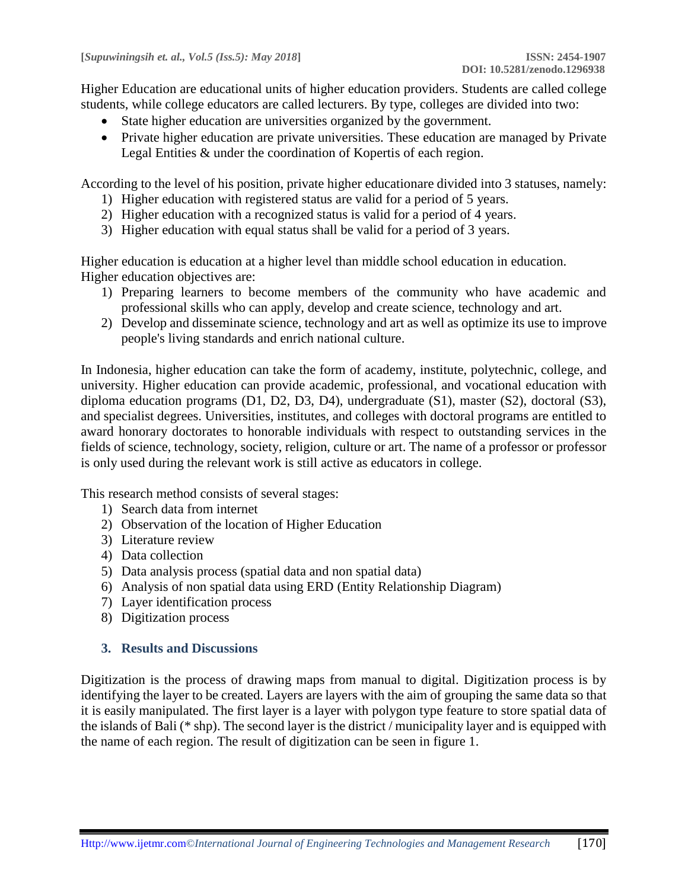Higher Education are educational units of higher education providers. Students are called college students, while college educators are called lecturers. By type, colleges are divided into two:

- State higher education are universities organized by the government.
- Private higher education are private universities. These education are managed by Private Legal Entities & under the coordination of Kopertis of each region.

According to the level of his position, private higher educationare divided into 3 statuses, namely:

- 1) Higher education with registered status are valid for a period of 5 years.
- 2) Higher education with a recognized status is valid for a period of 4 years.
- 3) Higher education with equal status shall be valid for a period of 3 years.

Higher education is education at a higher level than middle school education in education. Higher education objectives are:

- 1) Preparing learners to become members of the community who have academic and professional skills who can apply, develop and create science, technology and art.
- 2) Develop and disseminate science, technology and art as well as optimize its use to improve people's living standards and enrich national culture.

In Indonesia, higher education can take the form of academy, institute, polytechnic, college, and university. Higher education can provide academic, professional, and vocational education with diploma education programs (D1, D2, D3, D4), undergraduate (S1), master (S2), doctoral (S3), and specialist degrees. Universities, institutes, and colleges with doctoral programs are entitled to award honorary doctorates to honorable individuals with respect to outstanding services in the fields of science, technology, society, religion, culture or art. The name of a professor or professor is only used during the relevant work is still active as educators in college.

This research method consists of several stages:

- 1) Search data from internet
- 2) Observation of the location of Higher Education
- 3) Literature review
- 4) Data collection
- 5) Data analysis process (spatial data and non spatial data)
- 6) Analysis of non spatial data using ERD (Entity Relationship Diagram)
- 7) Layer identification process
- 8) Digitization process

# **3. Results and Discussions**

Digitization is the process of drawing maps from manual to digital. Digitization process is by identifying the layer to be created. Layers are layers with the aim of grouping the same data so that it is easily manipulated. The first layer is a layer with polygon type feature to store spatial data of the islands of Bali (\* shp). The second layer is the district / municipality layer and is equipped with the name of each region. The result of digitization can be seen in figure 1.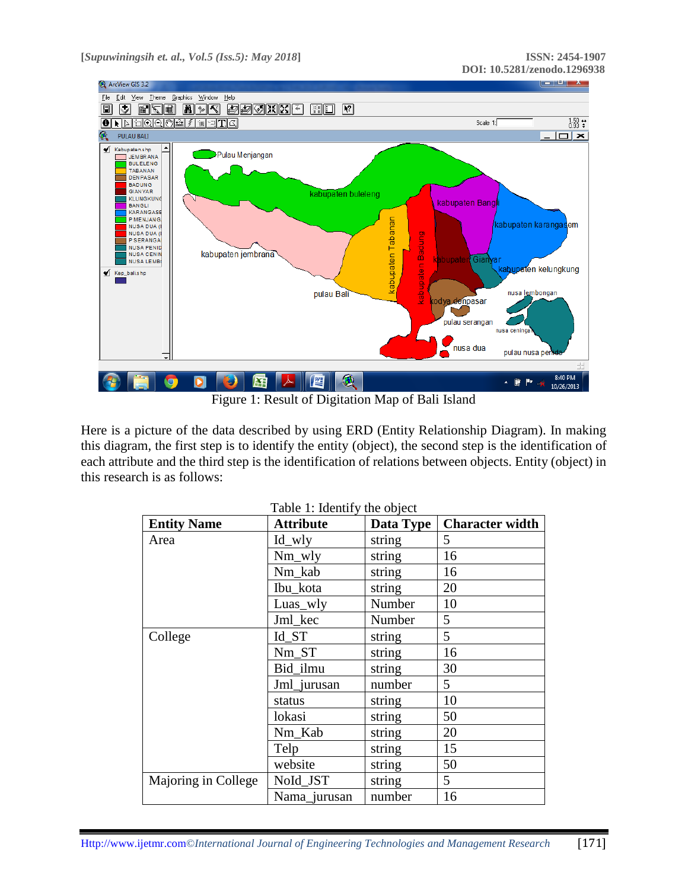

Figure 1: Result of Digitation Map of Bali Island

Here is a picture of the data described by using ERD (Entity Relationship Diagram). In making this diagram, the first step is to identify the entity (object), the second step is the identification of each attribute and the third step is the identification of relations between objects. Entity (object) in this research is as follows:

| <b>Entity Name</b>  | <b>Attribute</b> | Data Type | <b>Character width</b> |
|---------------------|------------------|-----------|------------------------|
| Area                | Id wly           | string    | 5                      |
|                     | $Nm_wly$         | string    | 16                     |
|                     | Nm_kab           | string    | 16                     |
|                     | Ibu_kota         | string    | 20                     |
|                     | Luas_wly         | Number    | 10                     |
|                     | Jml kec          | Number    | 5                      |
| College             | Id ST            | string    | 5                      |
|                     | Nm_ST            | string    | 16                     |
|                     | Bid_ilmu         | string    | 30                     |
|                     | Jml_jurusan      | number    | 5                      |
|                     | status           | string    | 10                     |
|                     | lokasi           | string    | 50                     |
|                     | Nm_Kab           | string    | 20                     |
|                     | Telp             | string    | 15                     |
|                     | website          | string    | 50                     |
| Majoring in College | NoId_JST         | string    | 5                      |
|                     | Nama_jurusan     | number    | 16                     |

|  |  |  | Table 1: Identify the object |  |  |  |
|--|--|--|------------------------------|--|--|--|
|--|--|--|------------------------------|--|--|--|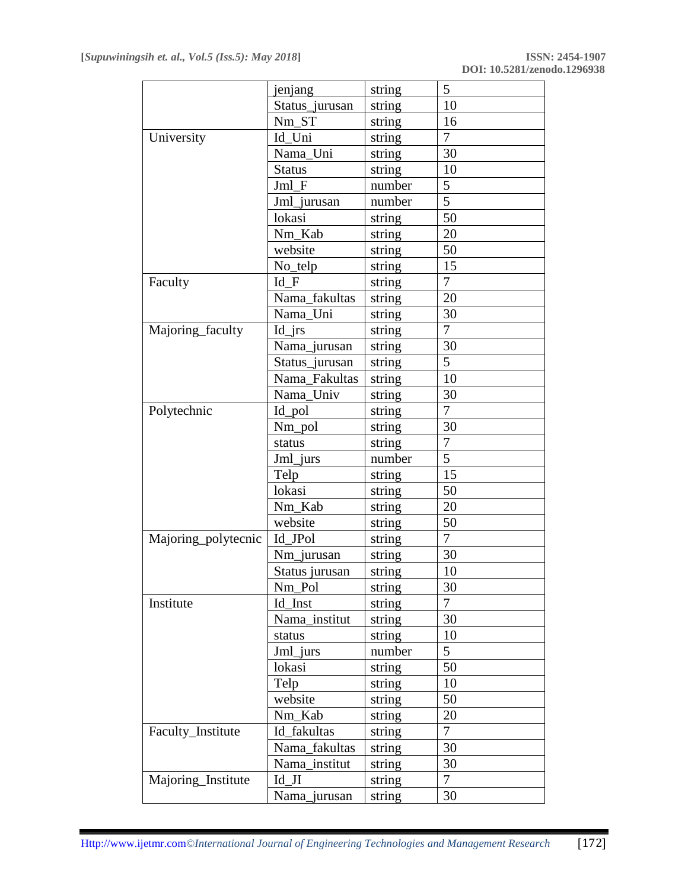| 10<br>Status_jurusan<br>string<br>16<br>Nm_ST<br>string<br>7<br>University<br>Id_Uni<br>string<br>Nama_Uni<br>30<br>string<br>10<br><b>Status</b><br>string<br>Jml F<br>5<br>number<br>5<br>Jml_jurusan<br>number<br>50<br>lokasi<br>string<br>20<br>Nm Kab<br>string<br>website<br>50<br>string<br>No_telp<br>15<br>string<br>$\overline{7}$<br>Id F<br>Faculty<br>string<br>Nama_fakultas<br>20<br>string<br>Nama_Uni<br>30<br>string<br>7<br>Majoring_faculty<br>$Id_{irs}$<br>string<br>30<br>Nama_jurusan<br>string<br>5<br>Status_jurusan<br>string<br>10<br>Nama_Fakultas<br>string |
|--------------------------------------------------------------------------------------------------------------------------------------------------------------------------------------------------------------------------------------------------------------------------------------------------------------------------------------------------------------------------------------------------------------------------------------------------------------------------------------------------------------------------------------------------------------------------------------------|
|                                                                                                                                                                                                                                                                                                                                                                                                                                                                                                                                                                                            |
|                                                                                                                                                                                                                                                                                                                                                                                                                                                                                                                                                                                            |
|                                                                                                                                                                                                                                                                                                                                                                                                                                                                                                                                                                                            |
|                                                                                                                                                                                                                                                                                                                                                                                                                                                                                                                                                                                            |
|                                                                                                                                                                                                                                                                                                                                                                                                                                                                                                                                                                                            |
|                                                                                                                                                                                                                                                                                                                                                                                                                                                                                                                                                                                            |
|                                                                                                                                                                                                                                                                                                                                                                                                                                                                                                                                                                                            |
|                                                                                                                                                                                                                                                                                                                                                                                                                                                                                                                                                                                            |
|                                                                                                                                                                                                                                                                                                                                                                                                                                                                                                                                                                                            |
|                                                                                                                                                                                                                                                                                                                                                                                                                                                                                                                                                                                            |
|                                                                                                                                                                                                                                                                                                                                                                                                                                                                                                                                                                                            |
|                                                                                                                                                                                                                                                                                                                                                                                                                                                                                                                                                                                            |
|                                                                                                                                                                                                                                                                                                                                                                                                                                                                                                                                                                                            |
|                                                                                                                                                                                                                                                                                                                                                                                                                                                                                                                                                                                            |
|                                                                                                                                                                                                                                                                                                                                                                                                                                                                                                                                                                                            |
|                                                                                                                                                                                                                                                                                                                                                                                                                                                                                                                                                                                            |
|                                                                                                                                                                                                                                                                                                                                                                                                                                                                                                                                                                                            |
|                                                                                                                                                                                                                                                                                                                                                                                                                                                                                                                                                                                            |
| 30<br>Nama_Univ<br>string                                                                                                                                                                                                                                                                                                                                                                                                                                                                                                                                                                  |
| $\overline{7}$<br>Polytechnic<br>Id_pol<br>string                                                                                                                                                                                                                                                                                                                                                                                                                                                                                                                                          |
| Nm_pol<br>30<br>string                                                                                                                                                                                                                                                                                                                                                                                                                                                                                                                                                                     |
| $\overline{7}$<br>string<br>status                                                                                                                                                                                                                                                                                                                                                                                                                                                                                                                                                         |
| 5<br>Jml_jurs<br>number                                                                                                                                                                                                                                                                                                                                                                                                                                                                                                                                                                    |
| 15<br>Telp<br>string                                                                                                                                                                                                                                                                                                                                                                                                                                                                                                                                                                       |
| 50<br>lokasi<br>string                                                                                                                                                                                                                                                                                                                                                                                                                                                                                                                                                                     |
| 20<br>Nm_Kab<br>string                                                                                                                                                                                                                                                                                                                                                                                                                                                                                                                                                                     |
| 50<br>website<br>string                                                                                                                                                                                                                                                                                                                                                                                                                                                                                                                                                                    |
| 7<br>Id_JPol<br>Majoring_polytecnic<br>string                                                                                                                                                                                                                                                                                                                                                                                                                                                                                                                                              |
| 30<br>Nm_jurusan<br>string                                                                                                                                                                                                                                                                                                                                                                                                                                                                                                                                                                 |
| 10<br>Status jurusan<br>string                                                                                                                                                                                                                                                                                                                                                                                                                                                                                                                                                             |
| $\frac{1}{\text{string}}$<br>30<br>Nm_Pol                                                                                                                                                                                                                                                                                                                                                                                                                                                                                                                                                  |
| 7<br>Institute<br>Id_Inst<br>string                                                                                                                                                                                                                                                                                                                                                                                                                                                                                                                                                        |
| 30<br>Nama institut<br>string                                                                                                                                                                                                                                                                                                                                                                                                                                                                                                                                                              |
| string<br>10<br>status                                                                                                                                                                                                                                                                                                                                                                                                                                                                                                                                                                     |
| 5<br>Jml jurs<br>number                                                                                                                                                                                                                                                                                                                                                                                                                                                                                                                                                                    |
| 50<br>lokasi<br>string                                                                                                                                                                                                                                                                                                                                                                                                                                                                                                                                                                     |
| Telp<br>string<br>10                                                                                                                                                                                                                                                                                                                                                                                                                                                                                                                                                                       |
| website<br>50<br>string                                                                                                                                                                                                                                                                                                                                                                                                                                                                                                                                                                    |
| Nm Kab<br>20<br>string                                                                                                                                                                                                                                                                                                                                                                                                                                                                                                                                                                     |
| Faculty_Institute<br>7<br>Id fakultas<br>string                                                                                                                                                                                                                                                                                                                                                                                                                                                                                                                                            |
| Nama_fakultas<br>30<br>string                                                                                                                                                                                                                                                                                                                                                                                                                                                                                                                                                              |
| 30<br>Nama_institut<br>string                                                                                                                                                                                                                                                                                                                                                                                                                                                                                                                                                              |
| Majoring_Institute<br>$\overline{7}$<br>$Id_JI$<br>string                                                                                                                                                                                                                                                                                                                                                                                                                                                                                                                                  |
| 30<br>Nama_jurusan<br>string                                                                                                                                                                                                                                                                                                                                                                                                                                                                                                                                                               |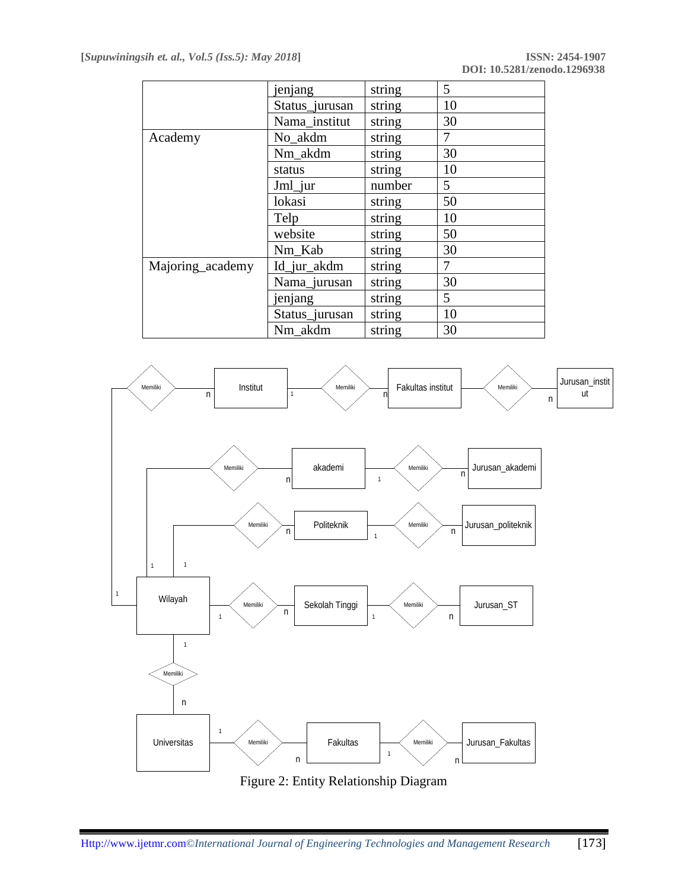|                  | jenjang        | string | 5  |
|------------------|----------------|--------|----|
|                  | Status_jurusan | string | 10 |
|                  | Nama_institut  | string | 30 |
| Academy          | No akdm        | string | 7  |
|                  | Nm_akdm        | string | 30 |
|                  | status         | string | 10 |
|                  | Jml_jur        | number | 5  |
|                  | lokasi         | string | 50 |
|                  | Telp           | string | 10 |
|                  | website        | string | 50 |
|                  | Nm Kab         | string | 30 |
| Majoring_academy | Id_jur_akdm    | string | 7  |
|                  | Nama_jurusan   | string | 30 |
|                  | jenjang        | string | 5  |
|                  | Status_jurusan | string | 10 |
|                  | Nm akdm        | string | 30 |



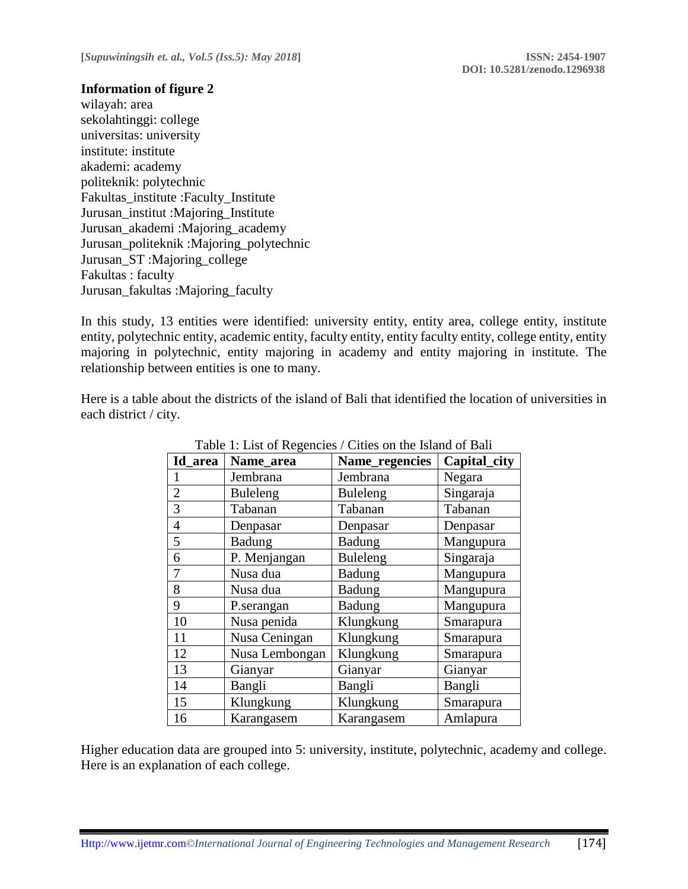### **Information of figure 2**

wilayah: area sekolahtinggi: college universitas: university institute: institute akademi: academy politeknik: polytechnic Fakultas\_institute :Faculty\_Institute Jurusan\_institut :Majoring\_Institute Jurusan\_akademi :Majoring\_academy Jurusan\_politeknik :Majoring\_polytechnic Jurusan\_ST :Majoring\_college Fakultas : faculty Jurusan\_fakultas :Majoring\_faculty

In this study, 13 entities were identified: university entity, entity area, college entity, institute entity, polytechnic entity, academic entity, faculty entity, entity faculty entity, college entity, entity majoring in polytechnic, entity majoring in academy and entity majoring in institute. The relationship between entities is one to many.

Here is a table about the districts of the island of Bali that identified the location of universities in each district / city.

| Id area        | Name_area<br>Name_regencies |                 | Capital_city |  |
|----------------|-----------------------------|-----------------|--------------|--|
|                | Jembrana                    | Jembrana        | Negara       |  |
| $\overline{c}$ | Buleleng                    | <b>Buleleng</b> | Singaraja    |  |
| $\overline{3}$ | Tabanan                     | Tabanan         | Tabanan      |  |
| $\overline{4}$ | Denpasar                    | Denpasar        | Denpasar     |  |
| 5              | Badung                      | Badung          | Mangupura    |  |
| 6              | P. Menjangan                | <b>Buleleng</b> | Singaraja    |  |
| $\overline{7}$ | Nusa dua                    | <b>Badung</b>   | Mangupura    |  |
| 8              | Nusa dua                    | <b>Badung</b>   | Mangupura    |  |
| 9              | P.serangan                  | <b>Badung</b>   | Mangupura    |  |
| 10             | Nusa penida                 | Klungkung       | Smarapura    |  |
| 11             | Nusa Ceningan               | Klungkung       | Smarapura    |  |
| 12             | Nusa Lembongan              | Klungkung       | Smarapura    |  |
| 13             | Gianyar                     | Gianyar         | Gianyar      |  |
| 14             | Bangli                      | Bangli          | Bangli       |  |
| 15             | Klungkung                   | Klungkung       | Smarapura    |  |
| 16             | Karangasem                  | Karangasem      | Amlapura     |  |

Table 1: List of Regencies / Cities on the Island of Bali

Higher education data are grouped into 5: university, institute, polytechnic, academy and college. Here is an explanation of each college.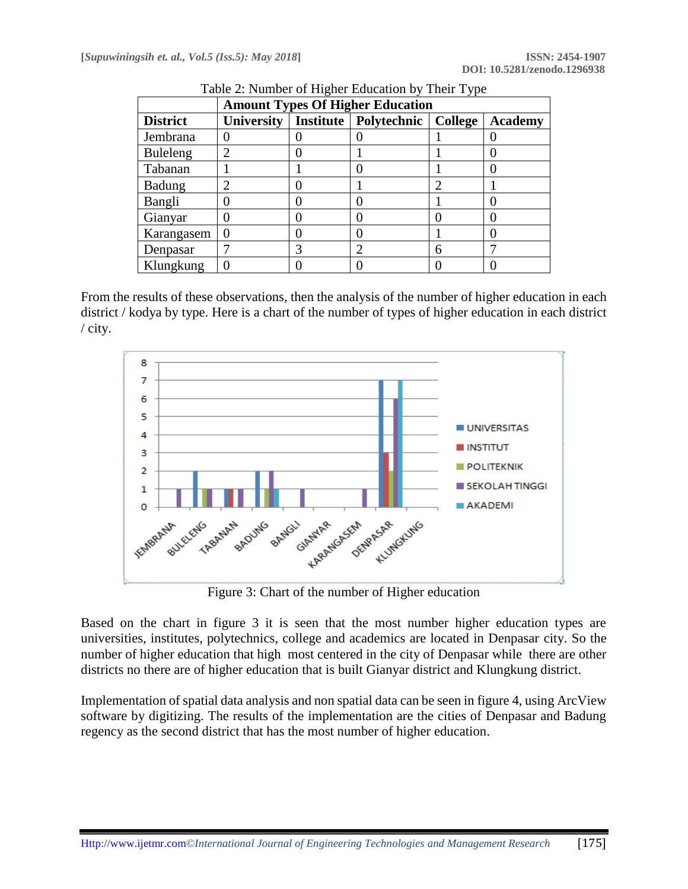| <b>Amount Types Of Higher Education</b> |            |  |                         |         |                |
|-----------------------------------------|------------|--|-------------------------|---------|----------------|
| <b>District</b>                         | University |  | Institute   Polytechnic | College | <b>Academy</b> |
| Jembrana                                |            |  |                         |         |                |
| <b>Buleleng</b>                         |            |  |                         |         |                |
| Tabanan                                 |            |  |                         |         |                |
| <b>Badung</b>                           |            |  |                         | ◠       |                |
| Bangli                                  |            |  |                         |         |                |
| Gianyar                                 |            |  |                         |         |                |
| Karangasem                              |            |  |                         |         |                |
| Denpasar                                |            |  |                         | 6       |                |
| Klungkung                               |            |  |                         |         |                |

Table 2: Number of Higher Education by Their Type

From the results of these observations, then the analysis of the number of higher education in each district / kodya by type. Here is a chart of the number of types of higher education in each district / city.



Figure 3: Chart of the number of Higher education

Based on the chart in figure 3 it is seen that the most number higher education types are universities, institutes, polytechnics, college and academics are located in Denpasar city. So the number of higher education that high most centered in the city of Denpasar while there are other districts no there are of higher education that is built Gianyar district and Klungkung district.

Implementation of spatial data analysis and non spatial data can be seen in figure 4, using ArcView software by digitizing. The results of the implementation are the cities of Denpasar and Badung regency as the second district that has the most number of higher education.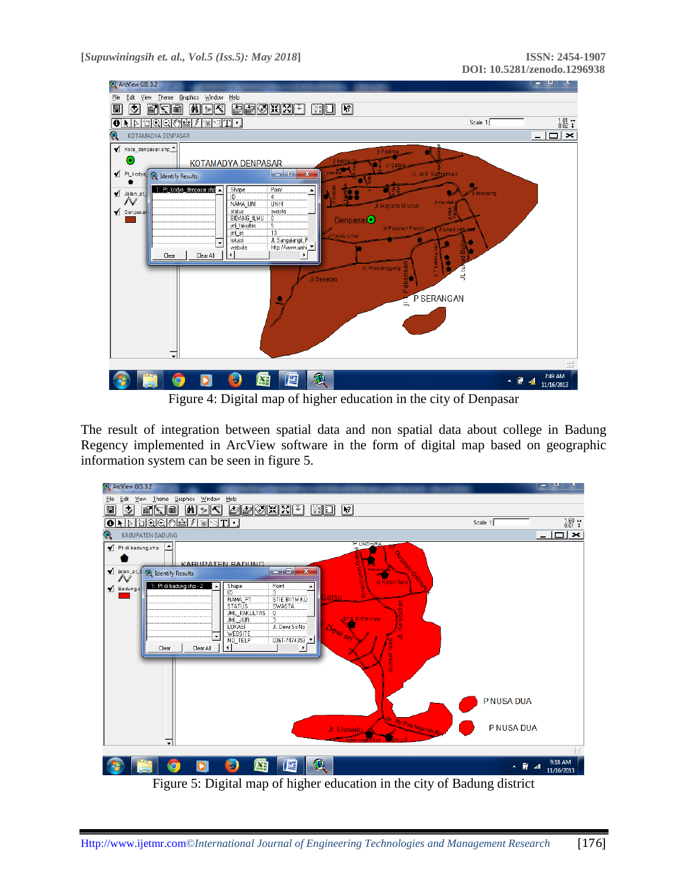

Figure 4: Digital map of higher education in the city of Denpasar

The result of integration between spatial data and non spatial data about college in Badung Regency implemented in ArcView software in the form of digital map based on geographic information system can be seen in figure 5.



Figure 5: Digital map of higher education in the city of Badung district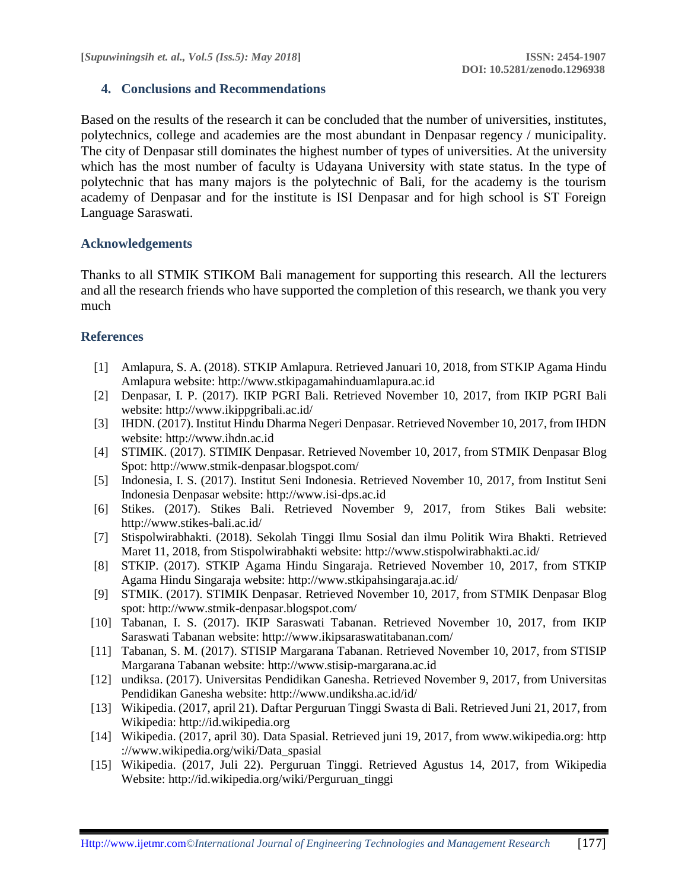# **4. Conclusions and Recommendations**

Based on the results of the research it can be concluded that the number of universities, institutes, polytechnics, college and academies are the most abundant in Denpasar regency / municipality. The city of Denpasar still dominates the highest number of types of universities. At the university which has the most number of faculty is Udayana University with state status. In the type of polytechnic that has many majors is the polytechnic of Bali, for the academy is the tourism academy of Denpasar and for the institute is ISI Denpasar and for high school is ST Foreign Language Saraswati.

# **Acknowledgements**

Thanks to all STMIK STIKOM Bali management for supporting this research. All the lecturers and all the research friends who have supported the completion of this research, we thank you very much

# **References**

- [1] Amlapura, S. A. (2018). STKIP Amlapura. Retrieved Januari 10, 2018, from STKIP Agama Hindu Amlapura website: [http://www.stkipagamahinduamlapura.ac.id](http://www.stkipagamahinduamlapura.ac.id/)
- [2] Denpasar, I. P. (2017). IKIP PGRI Bali. Retrieved November 10, 2017, from IKIP PGRI Bali website: http://www.ikippgribali.ac.id/
- [3] IHDN. (2017). Institut Hindu Dharma Negeri Denpasar. Retrieved November 10, 2017, from IHDN website: http://www.ihdn.ac.id
- [4] STIMIK. (2017). STIMIK Denpasar. Retrieved November 10, 2017, from STMIK Denpasar Blog Spot: http://www.stmik-denpasar.blogspot.com/
- [5] Indonesia, I. S. (2017). Institut Seni Indonesia. Retrieved November 10, 2017, from Institut Seni Indonesia Denpasar website: http://www.isi-dps.ac.id
- [6] Stikes. (2017). Stikes Bali. Retrieved November 9, 2017, from Stikes Bali website: http://www.stikes-bali.ac.id/
- [7] Stispolwirabhakti. (2018). Sekolah Tinggi Ilmu Sosial dan ilmu Politik Wira Bhakti. Retrieved Maret 11, 2018, from Stispolwirabhakti website: http://www.stispolwirabhakti.ac.id/
- [8] STKIP. (2017). STKIP Agama Hindu Singaraja. Retrieved November 10, 2017, from STKIP Agama Hindu Singaraja website: http://www.stkipahsingaraja.ac.id/
- [9] STMIK. (2017). STIMIK Denpasar. Retrieved November 10, 2017, from STMIK Denpasar Blog spot: http://www.stmik-denpasar.blogspot.com/
- [10] Tabanan, I. S. (2017). IKIP Saraswati Tabanan. Retrieved November 10, 2017, from IKIP Saraswati Tabanan website: http://www.ikipsaraswatitabanan.com/
- [11] Tabanan, S. M. (2017). STISIP Margarana Tabanan. Retrieved November 10, 2017, from STISIP Margarana Tabanan website: http://www.stisip-margarana.ac.id
- [12] undiksa. (2017). Universitas Pendidikan Ganesha. Retrieved November 9, 2017, from Universitas Pendidikan Ganesha website: http://www.undiksha.ac.id/id/
- [13] Wikipedia. (2017, april 21). Daftar Perguruan Tinggi Swasta di Bali. Retrieved Juni 21, 2017, from Wikipedia: http://id.wikipedia.org
- [14] Wikipedia. (2017, april 30). Data Spasial. Retrieved juni 19, 2017, from www.wikipedia.org: http ://www.wikipedia.org/wiki/Data\_spasial
- [15] Wikipedia. (2017, Juli 22). Perguruan Tinggi. Retrieved Agustus 14, 2017, from Wikipedia Website: http://id.wikipedia.org/wiki/Perguruan\_tinggi